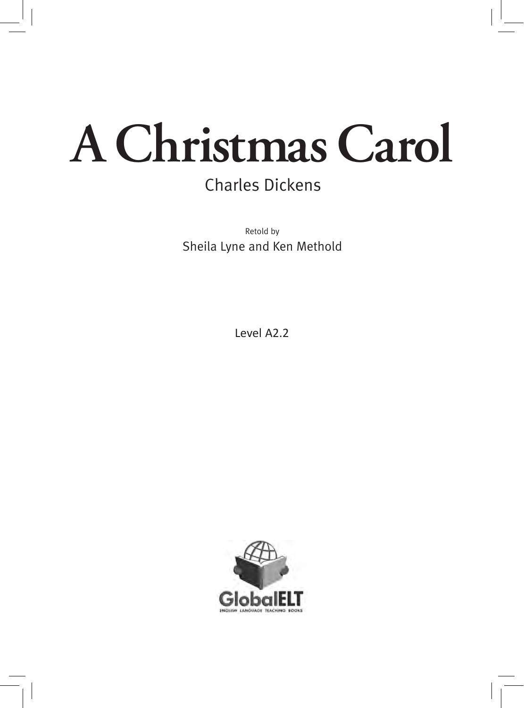# **A Christmas Carol**

## Charles Dickens

Retold by Sheila Lyne and Ken Methold

Level A2.2

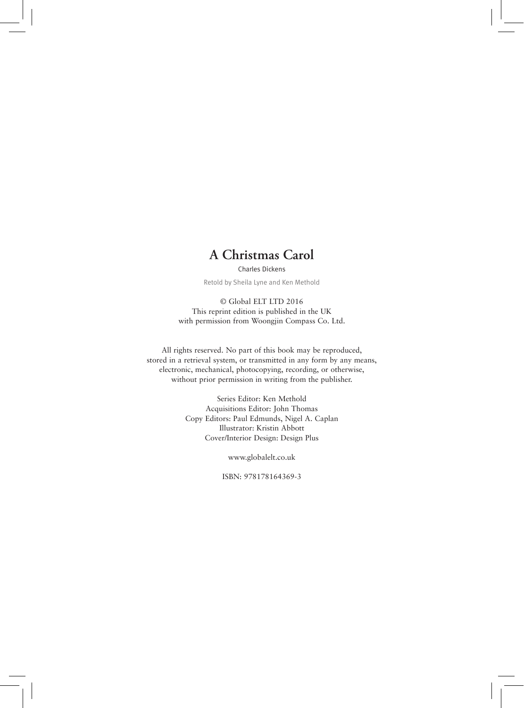#### **A Christmas Carol**

Charles Dickens Retold by Sheila Lyne and Ken Methold

© Global ELT LTD 2016 This reprint edition is published in the UK with permission from Woongjin Compass Co. Ltd.

All rights reserved. No part of this book may be reproduced, stored in a retrieval system, or transmitted in any form by any means, electronic, mechanical, photocopying, recording, or otherwise, without prior permission in writing from the publisher.

> Series Editor: Ken Methold Acquisitions Editor: John Thomas Copy Editors: Paul Edmunds, Nigel A. Caplan Illustrator: Kristin Abbott Cover/Interior Design: Design Plus

> > www.globalelt.co.uk

ISBN: 978178164369-3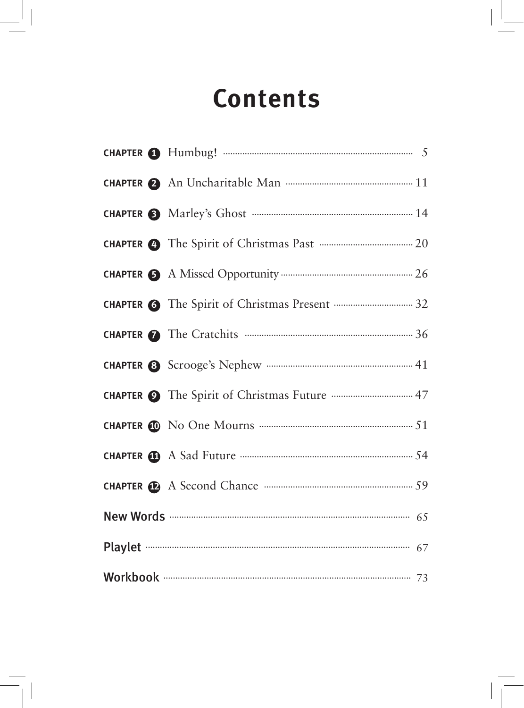# **Contents**

| CHAPTER <b>6</b> A Missed Opportunity <b>CHAPTER 6</b> A Missed Opportunity       |
|-----------------------------------------------------------------------------------|
|                                                                                   |
|                                                                                   |
|                                                                                   |
| CHAPTER <sup>17</sup> The Spirit of Christmas Future <b>CHAPTER</b> <sup>47</sup> |
|                                                                                   |
|                                                                                   |
|                                                                                   |
| New Words <b>Constitution</b> 65                                                  |
|                                                                                   |
| Workbook 33                                                                       |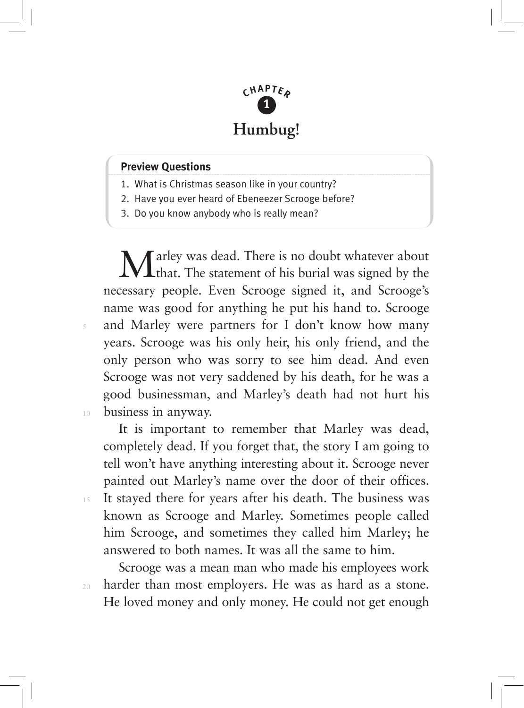

#### **Preview Questions**

- 1. What is Christmas season like in your country?
- 2. Have you ever heard of Ebeneezer Scrooge before?
- 3. Do you know anybody who is really mean?

Marley was dead. There is no doubt whatever about that. The statement of his burial was signed by the necessary people. Even Scrooge signed it, and Scrooge's name was good for anything he put his hand to. Scrooge and Marley were partners for I don't know how many years. Scrooge was his only heir, his only friend, and the only person who was sorry to see him dead. And even Scrooge was not very saddened by his death, for he was a good businessman, and Marley's death had not hurt his business in anyway.

10

15

5

It is important to remember that Marley was dead, completely dead. If you forget that, the story I am going to tell won't have anything interesting about it. Scrooge never painted out Marley's name over the door of their offices. It stayed there for years after his death. The business was known as Scrooge and Marley. Sometimes people called him Scrooge, and sometimes they called him Marley; he answered to both names. It was all the same to him.

Scrooge was a mean man who made his employees work harder than most employers. He was as hard as a stone. He loved money and only money. He could not get enough

20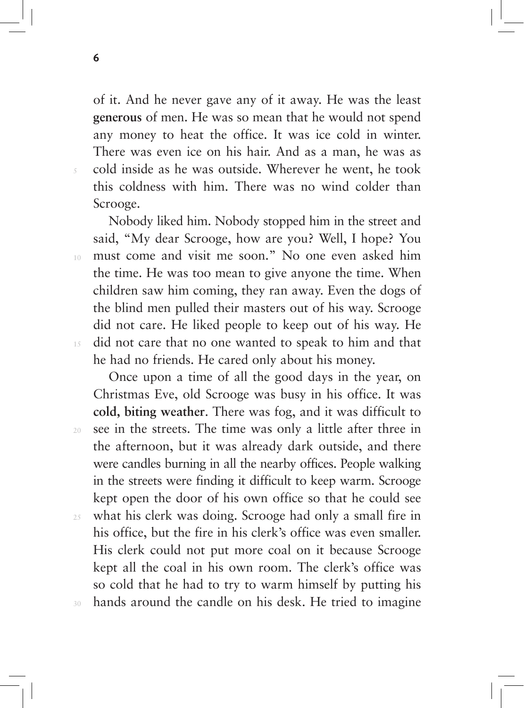of it. And he never gave any of it away. He was the least **generous** of men. He was so mean that he would not spend any money to heat the office. It was ice cold in winter. There was even ice on his hair. And as a man, he was as cold inside as he was outside. Wherever he went, he took this coldness with him. There was no wind colder than Scrooge.

15 Nobody liked him. Nobody stopped him in the street and said, "My dear Scrooge, how are you? Well, I hope? You must come and visit me soon." No one even asked him the time. He was too mean to give anyone the time. When children saw him coming, they ran away. Even the dogs of the blind men pulled their masters out of his way. Scrooge did not care. He liked people to keep out of his way. He did not care that no one wanted to speak to him and that he had no friends. He cared only about his money.

20 25 what his clerk was doing. Scrooge had only a small fire in 30 Once upon a time of all the good days in the year, on Christmas Eve, old Scrooge was busy in his office. It was **cold, biting weather**. There was fog, and it was difficult to see in the streets. The time was only a little after three in the afternoon, but it was already dark outside, and there were candles burning in all the nearby offices. People walking in the streets were finding it difficult to keep warm. Scrooge kept open the door of his own office so that he could see his office, but the fire in his clerk's office was even smaller. His clerk could not put more coal on it because Scrooge kept all the coal in his own room. The clerk's office was so cold that he had to try to warm himself by putting his hands around the candle on his desk. He tried to imagine

**6**

5

10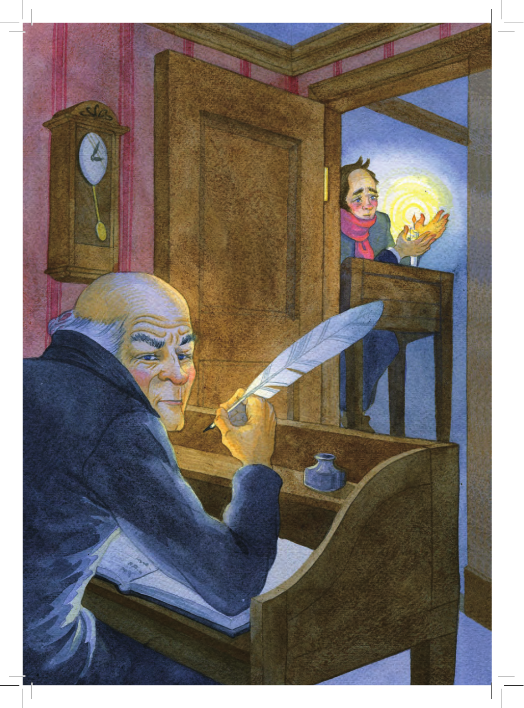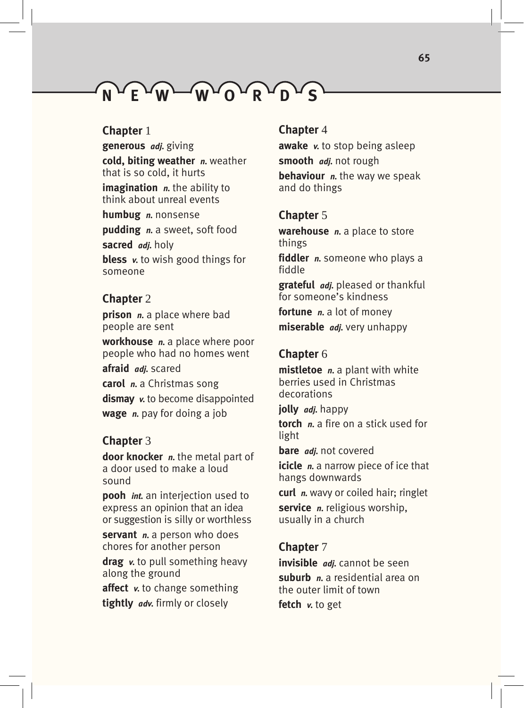# $V$ **W**  $\sim$  W<sub>N</sub>  $\cup$   $\cup$   $\cup$   $\cup$   $\cup$

#### **Chapter** 1

**generous** *adj*. giving cold, biting weather *n.* weather that is so cold, it hurts imagination *n*. the ability to think about unreal events

**Chapter** 2 **humbug** *n.* nonsense

**pudding** *n.* a sweet, soft food sacred adj. holy

**hlass** *u.* to wish good things for **bless** *v***. to wish good things for<br>someone** someone

#### $\theta$  shappens sheep in which the students sleep in  $\theta$ **Chapter** 2

**prison** *n*. a place<br>people are sent **prison** *n.* a place where bad

**can**<br>**workhouse** *n.* a place where poor **worknowse**  $\boldsymbol{n}$ , a place write  $\boldsymbol{p}$ people who had no homes went **parlar** *uu***l**, startum sitting room; and sitting room; and sitting room; and in the sitting room; and in the sitting room; and in the sitting room; and in the sitting room; and in the sitting room; and in the sitting room **afraid** *adj.* scared

**carol** *n.* a Christmas song wage *n.* pay for doing a job **dismay** *v.* to become disappointed

#### **Chapter** 3

**door knocker** *n*. the metal part of a door used to make a loud payment for goods or services they sound

pooh *int*. an interjection used to express an opinion that an idea or suggestion is silly or worthless

servant *n.* a person who does chores for another person

drag *v*. to pull something heavy along the ground

affect *v.* to change something **tightly** *adv.* firmly or closely

#### **Chapter** 4

awake v. to stop being asleep **smooth** *adj.* not rough **behaviour** *n*. the way we speak and do things helps around the house

## **kitter n.** *n.* **<b>n.** *n.**i*

 $\frac{1}{2}$  frame that people hold by a long by a long by a long by a long by a long by a long by a long by a long by a long by a long by a long by a long by a long by a long by a long by a long by a long by a long by a lon **warehouse** *n*. a place to store things

**fiddler** *n*. someone who plays a fiddle

grateful *adj*. pleased or thankful for someone's kindness

**fortune** *n.* a lot of money **miserable** adj. very unhappy

#### by a blow or cut **Chapter** 6

**mistletoe** *n.* a plant with white **befres used in Christmas**<br>decorations  $\frac{1}{2}$ berries used in Christmas

**jolly** *adj.* happy

**torch** *n*. a fire on a stick used for **colleagues** *n.* people who work light

**bare** *adj*. not covered

**icicle** *n*. a narrow piece of ice that hangs downwards

**curl** *n.* wavy or coiled hair; ringlet service *n.* religious worship, usually in a church

#### **Chapter** 7

**Chapter** 8 **invisible** *adj.* cannot be seen

**suburb** *n.* a residential area on the outer limit of town

**fetch** *v.* to get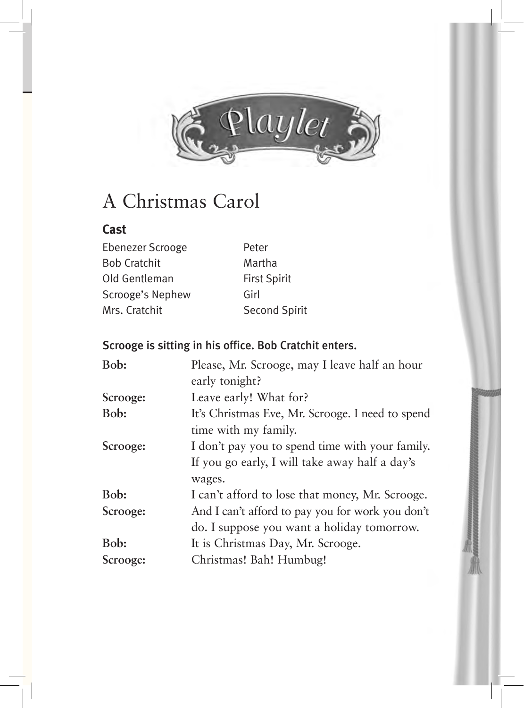

## A Christmas Carol

## **Cast**

Ebenezer Scrooge Peter Bob Cratchit Martha Old Gentleman First Spirit Scrooge's Nephew Girl Mrs. Cratchit Second Spirit

#### Scrooge is sitting in his office. Bob Cratchit enters.

| Bob:     | Please, Mr. Scrooge, may I leave half an hour<br>early tonight? |
|----------|-----------------------------------------------------------------|
| Scrooge: | Leave early! What for?                                          |
| Bob:     | It's Christmas Eve, Mr. Scrooge. I need to spend                |
|          | time with my family.                                            |
| Scrooge: | I don't pay you to spend time with your family.                 |
|          | If you go early, I will take away half a day's                  |
|          | wages.                                                          |
| Bob:     | I can't afford to lose that money, Mr. Scrooge.                 |
| Scrooge: | And I can't afford to pay you for work you don't                |
|          | do. I suppose you want a holiday tomorrow.                      |
| Bob:     | It is Christmas Day, Mr. Scrooge.                               |
| Scrooge: | Christmas! Bah! Humbug!                                         |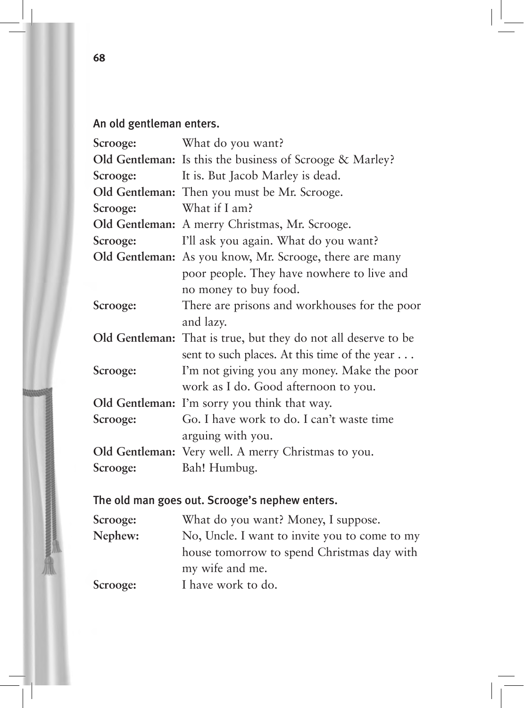## An old gentleman enters.

| Scrooge: | What do you want?                                              |
|----------|----------------------------------------------------------------|
|          | Old Gentleman: Is this the business of Scrooge & Marley?       |
| Scrooge: | It is. But Jacob Marley is dead.                               |
|          | Old Gentleman: Then you must be Mr. Scrooge.                   |
| Scrooge: | What if I am?                                                  |
|          | Old Gentleman: A merry Christmas, Mr. Scrooge.                 |
| Scrooge: | I'll ask you again. What do you want?                          |
|          | <b>Old Gentleman:</b> As you know, Mr. Scrooge, there are many |
|          | poor people. They have nowhere to live and                     |
|          | no money to buy food.                                          |
| Scrooge: | There are prisons and workhouses for the poor                  |
|          | and lazy.                                                      |
|          | Old Gentleman: That is true, but they do not all deserve to be |
|          | sent to such places. At this time of the year                  |
| Scrooge: | I'm not giving you any money. Make the poor                    |
|          | work as I do. Good afternoon to you.                           |
|          | Old Gentleman: I'm sorry you think that way.                   |
| Scrooge: | Go. I have work to do. I can't waste time                      |
|          | arguing with you.                                              |
|          | Old Gentleman: Very well. A merry Christmas to you.            |
| Scrooge: | Bah! Humbug.                                                   |

## The old man goes out. Scrooge's nephew enters.

| Scrooge: | What do you want? Money, I suppose.           |
|----------|-----------------------------------------------|
| Nephew:  | No, Uncle. I want to invite you to come to my |
|          | house tomorrow to spend Christmas day with    |
|          | my wife and me.                               |
| Scrooge: | I have work to do.                            |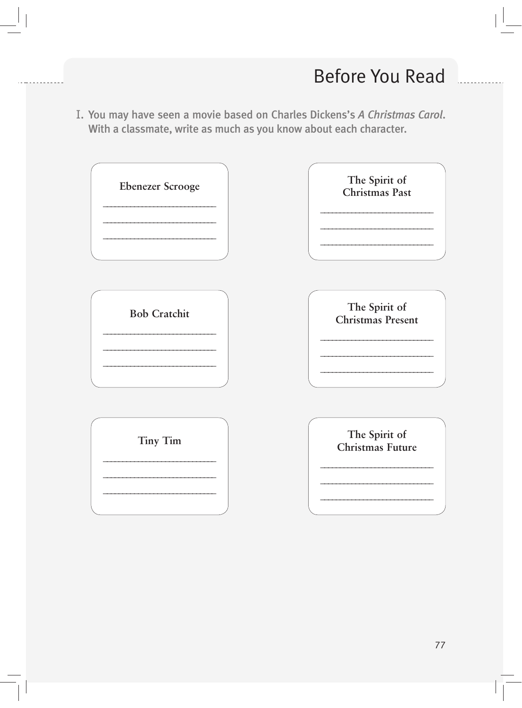I. You may have seen a movie based on Charles Dickens's *A Christmas Carol*. With a classmate, write as much as you know about each character.

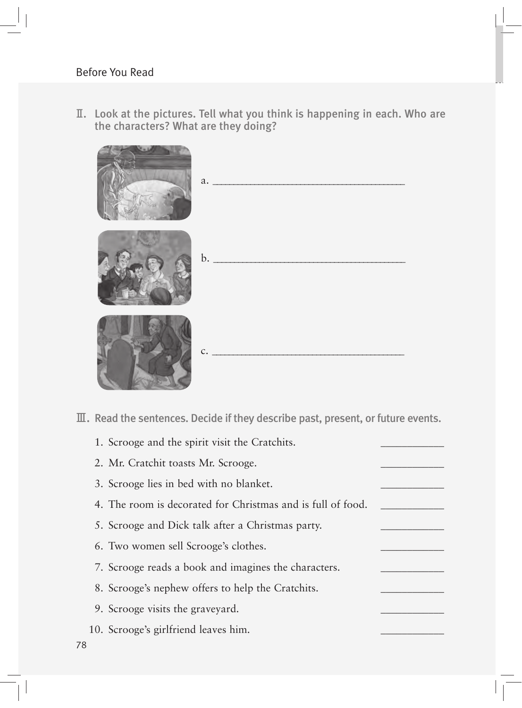II. Look at the pictures. Tell what you think is happening in each. Who are the characters? What are they doing?



III. Read the sentences. Decide if they describe past, present, or future events.

|    | 1. Scrooge and the spirit visit the Cratchits.              |  |
|----|-------------------------------------------------------------|--|
|    | 2. Mr. Cratchit toasts Mr. Scrooge.                         |  |
|    | 3. Scrooge lies in bed with no blanket.                     |  |
|    | 4. The room is decorated for Christmas and is full of food. |  |
|    | 5. Scrooge and Dick talk after a Christmas party.           |  |
|    | 6. Two women sell Scrooge's clothes.                        |  |
|    | 7. Scrooge reads a book and imagines the characters.        |  |
|    | 8. Scrooge's nephew offers to help the Cratchits.           |  |
|    | 9. Scrooge visits the graveyard.                            |  |
|    | 10. Scrooge's girlfriend leaves him.                        |  |
| 78 |                                                             |  |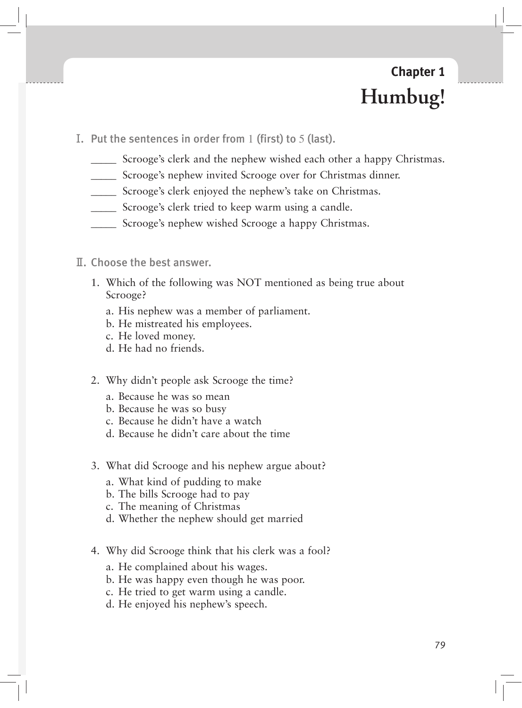# **Chapter 1 Humbug!**

- I. Put the sentences in order from 1 (first) to 5 (last).
	- Scrooge's clerk and the nephew wished each other a happy Christmas.
	- Scrooge's nephew invited Scrooge over for Christmas dinner.
	- \_\_\_\_\_ Scrooge's clerk enjoyed the nephew's take on Christmas.
	- Scrooge's clerk tried to keep warm using a candle.
	- Scrooge's nephew wished Scrooge a happy Christmas.
- II. Choose the best answer.
	- 1. Which of the following was NOT mentioned as being true about Scrooge?
		- a. His nephew was a member of parliament.
		- b. He mistreated his employees.
		- c. He loved money.
		- d. He had no friends.
	- 2. Why didn't people ask Scrooge the time?
		- a. Because he was so mean
		- b. Because he was so busy
		- c. Because he didn't have a watch
		- d. Because he didn't care about the time
	- 3. What did Scrooge and his nephew argue about?
		- a. What kind of pudding to make
		- b. The bills Scrooge had to pay
		- c. The meaning of Christmas
		- d. Whether the nephew should get married
	- 4. Why did Scrooge think that his clerk was a fool?
		- a. He complained about his wages.
		- b. He was happy even though he was poor.
		- c. He tried to get warm using a candle.
		- d. He enjoyed his nephew's speech.